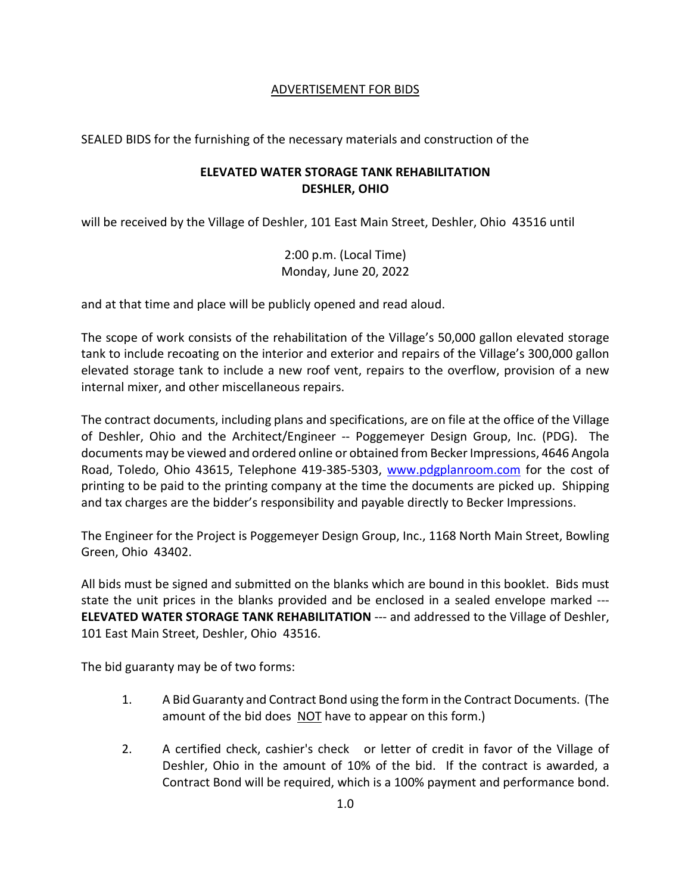## ADVERTISEMENT FOR BIDS

SEALED BIDS for the furnishing of the necessary materials and construction of the

## **ELEVATED WATER STORAGE TANK REHABILITATION DESHLER, OHIO**

will be received by the Village of Deshler, 101 East Main Street, Deshler, Ohio 43516 until

2:00 p.m. (Local Time) Monday, June 20, 2022

and at that time and place will be publicly opened and read aloud.

The scope of work consists of the rehabilitation of the Village's 50,000 gallon elevated storage tank to include recoating on the interior and exterior and repairs of the Village's 300,000 gallon elevated storage tank to include a new roof vent, repairs to the overflow, provision of a new internal mixer, and other miscellaneous repairs.

The contract documents, including plans and specifications, are on file at the office of the Village of Deshler, Ohio and the Architect/Engineer -- Poggemeyer Design Group, Inc. (PDG). The documents may be viewed and ordered online or obtained from Becker Impressions, 4646 Angola Road, Toledo, Ohio 43615, Telephone 419-385-5303, [www.pdgplanroom.com](http://www.pdgplanroom.com/) for the cost of printing to be paid to the printing company at the time the documents are picked up. Shipping and tax charges are the bidder's responsibility and payable directly to Becker Impressions.

The Engineer for the Project is Poggemeyer Design Group, Inc., 1168 North Main Street, Bowling Green, Ohio 43402.

All bids must be signed and submitted on the blanks which are bound in this booklet. Bids must state the unit prices in the blanks provided and be enclosed in a sealed envelope marked --- **ELEVATED WATER STORAGE TANK REHABILITATION** --- and addressed to the Village of Deshler, 101 East Main Street, Deshler, Ohio 43516.

The bid guaranty may be of two forms:

- 1. A Bid Guaranty and Contract Bond using the form in the Contract Documents. (The amount of the bid does NOT have to appear on this form.)
- 2. A certified check, cashier's check or letter of credit in favor of the Village of Deshler, Ohio in the amount of 10% of the bid. If the contract is awarded, a Contract Bond will be required, which is a 100% payment and performance bond.